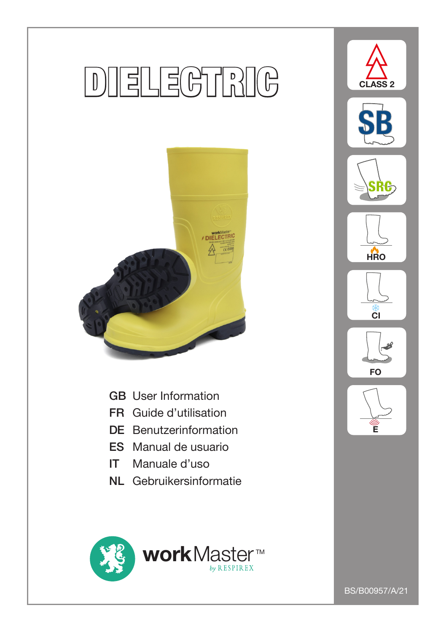# **DIELEGTRIG**



- GB User Information
- FR Guide d'utilisation
- DE Benutzerinformation
- ES Manual de usuario
- IT Manuale d'uso
- NL Gebruikersinformatie





BS/B00957/A/21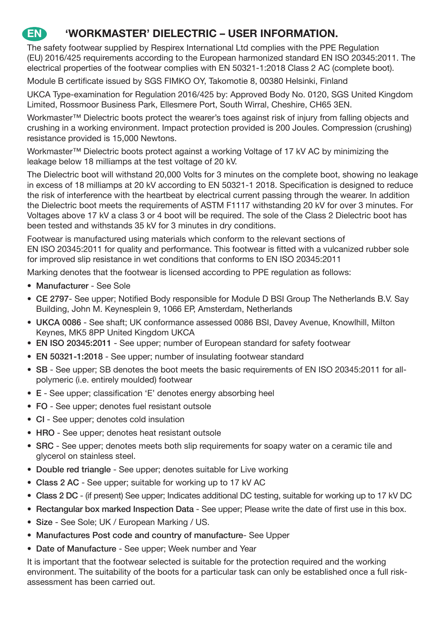## **EN 'WORKMASTER' DIELECTRIC – USER INFORMATION.**

The safety footwear supplied by Respirex International Ltd complies with the PPE Regulation (EU) 2016/425 requirements according to the European harmonized standard EN ISO 20345:2011. The electrical properties of the footwear complies with EN 50321-1:2018 Class 2 AC (complete boot).

Module B certificate issued by SGS FIMKO OY, Takomotie 8, 00380 Helsinki, Finland

UKCA Type-examination for Regulation 2016/425 by: Approved Body No. 0120, SGS United Kingdom Limited, Rossmoor Business Park, Ellesmere Port, South Wirral, Cheshire, CH65 3EN.

Workmaster™ Dielectric boots protect the wearer's toes against risk of injury from falling objects and crushing in a working environment. Impact protection provided is 200 Joules. Compression (crushing) resistance provided is 15,000 Newtons.

Workmaster™ Dielectric boots protect against a working Voltage of 17 kV AC by minimizing the leakage below 18 milliamps at the test voltage of 20 kV.

The Dielectric boot will withstand 20,000 Volts for 3 minutes on the complete boot, showing no leakage in excess of 18 milliamps at 20 kV according to EN 50321-1 2018. Specification is designed to reduce the risk of interference with the heartbeat by electrical current passing through the wearer. In addition the Dielectric boot meets the requirements of ASTM F1117 withstanding 20 kV for over 3 minutes. For Voltages above 17 kV a class 3 or 4 boot will be required. The sole of the Class 2 Dielectric boot has been tested and withstands 35 kV for 3 minutes in dry conditions.

Footwear is manufactured using materials which conform to the relevant sections of EN ISO 20345:2011 for quality and performance. This footwear is fitted with a vulcanized rubber sole for improved slip resistance in wet conditions that conforms to EN ISO 20345:2011

Marking denotes that the footwear is licensed according to PPE regulation as follows:

- Manufacturer See Sole
- CE 2797- See upper; Notified Body responsible for Module D BSI Group The Netherlands B.V. Say Building, John M. Keynesplein 9, 1066 EP, Amsterdam, Netherlands
- UKCA 0086 See shaft; UK conformance assessed 0086 BSI, Davey Avenue, Knowlhill, Milton Keynes, MK5 8PP United Kingdom UKCA
- EN ISO 20345:2011 See upper; number of European standard for safety footwear
- EN 50321-1:2018 See upper; number of insulating footwear standard
- SB See upper; SB denotes the boot meets the basic requirements of EN ISO 20345:2011 for allpolymeric (i.e. entirely moulded) footwear
- E See upper; classification 'E' denotes energy absorbing heel
- FO See upper; denotes fuel resistant outsole
- CI See upper; denotes cold insulation
- HRO See upper; denotes heat resistant outsole
- SRC See upper; denotes meets both slip requirements for soapy water on a ceramic tile and glycerol on stainless steel.
- Double red triangle See upper; denotes suitable for Live working
- Class 2 AC See upper; suitable for working up to 17 kV AC
- Class 2 DC (if present) See upper; Indicates additional DC testing, suitable for working up to 17 kV DC
- Rectangular box marked Inspection Data See upper; Please write the date of first use in this box.
- Size See Sole; UK / European Marking / US.
- Manufactures Post code and country of manufacture- See Upper
- Date of Manufacture See upper; Week number and Year

It is important that the footwear selected is suitable for the protection required and the working environment. The suitability of the boots for a particular task can only be established once a full riskassessment has been carried out.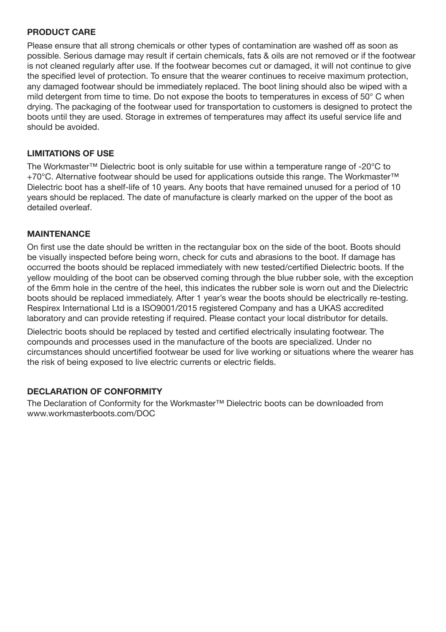#### **PRODUCT CARE**

Please ensure that all strong chemicals or other types of contamination are washed off as soon as possible. Serious damage may result if certain chemicals, fats & oils are not removed or if the footwear is not cleaned regularly after use. If the footwear becomes cut or damaged, it will not continue to give the specified level of protection. To ensure that the wearer continues to receive maximum protection, any damaged footwear should be immediately replaced. The boot lining should also be wiped with a mild detergent from time to time. Do not expose the boots to temperatures in excess of 50° C when drying. The packaging of the footwear used for transportation to customers is designed to protect the boots until they are used. Storage in extremes of temperatures may affect its useful service life and should be avoided.

#### **LIMITATIONS OF USE**

The Workmaster™ Dielectric boot is only suitable for use within a temperature range of -20°C to +70°C. Alternative footwear should be used for applications outside this range. The Workmaster™ Dielectric boot has a shelf-life of 10 years. Any boots that have remained unused for a period of 10 years should be replaced. The date of manufacture is clearly marked on the upper of the boot as detailed overleaf.

#### **MAINTENANCE**

On first use the date should be written in the rectangular box on the side of the boot. Boots should be visually inspected before being worn, check for cuts and abrasions to the boot. If damage has occurred the boots should be replaced immediately with new tested/certified Dielectric boots. If the yellow moulding of the boot can be observed coming through the blue rubber sole, with the exception of the 6mm hole in the centre of the heel, this indicates the rubber sole is worn out and the Dielectric boots should be replaced immediately. After 1 year's wear the boots should be electrically re-testing. Respirex International Ltd is a ISO9001/2015 registered Company and has a UKAS accredited laboratory and can provide retesting if required. Please contact your local distributor for details.

Dielectric boots should be replaced by tested and certified electrically insulating footwear. The compounds and processes used in the manufacture of the boots are specialized. Under no circumstances should uncertified footwear be used for live working or situations where the wearer has the risk of being exposed to live electric currents or electric fields.

#### **DECLARATION OF CONFORMITY**

The Declaration of Conformity for the Workmaster™ Dielectric boots can be downloaded from www.workmasterboots.com/DOC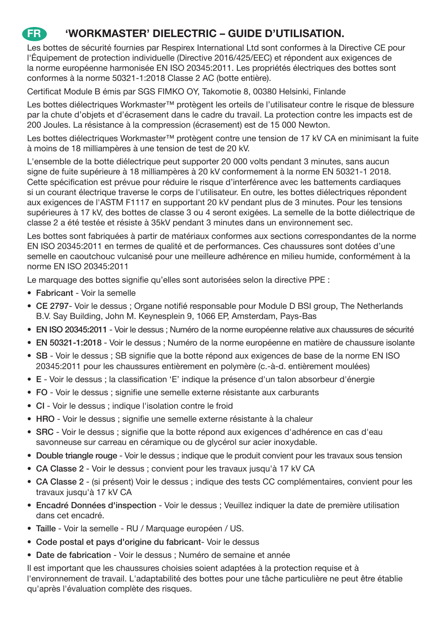## **FR 'WORKMASTER' DIELECTRIC – GUIDE D'UTILISATION.**

Les bottes de sécurité fournies par Respirex International Ltd sont conformes à la Directive CE pour l'Équipement de protection individuelle (Directive 2016/425/EEC) et répondent aux exigences de la norme européenne harmonisée EN ISO 20345:2011. Les propriétés électriques des bottes sont conformes à la norme 50321-1:2018 Classe 2 AC (botte entière).

Certificat Module B émis par SGS FIMKO OY, Takomotie 8, 00380 Helsinki, Finlande

Les bottes diélectriques Workmaster™ protègent les orteils de l'utilisateur contre le risque de blessure par la chute d'objets et d'écrasement dans le cadre du travail. La protection contre les impacts est de 200 Joules. La résistance à la compression (écrasement) est de 15 000 Newton.

Les bottes diélectriques Workmaster™ protègent contre une tension de 17 kV CA en minimisant la fuite à moins de 18 milliampères à une tension de test de 20 kV.

L'ensemble de la botte diélectrique peut supporter 20 000 volts pendant 3 minutes, sans aucun signe de fuite supérieure à 18 milliampères à 20 kV conformement à la norme EN 50321-1 2018. Cette spécification est prévue pour réduire le risque d'interférence avec les battements cardiaques si un courant électrique traverse le corps de l'utilisateur. En outre, les bottes diélectriques répondent aux exigences de l'ASTM F1117 en supportant 20 kV pendant plus de 3 minutes. Pour les tensions supérieures à 17 kV, des bottes de classe 3 ou 4 seront exigées. La semelle de la botte diélectrique de classe 2 a été testée et résiste à 35kV pendant 3 minutes dans un environnement sec.

Les bottes sont fabriquées à partir de matériaux conformes aux sections correspondantes de la norme EN ISO 20345:2011 en termes de qualité et de performances. Ces chaussures sont dotées d'une semelle en caoutchouc vulcanisé pour une meilleure adhérence en milieu humide, conformément à la norme EN ISO 20345:2011

Le marquage des bottes signifie qu'elles sont autorisées selon la directive PPE :

- Fabricant Voir la semelle
- CE 2797- Voir le dessus ; Organe notifié responsable pour Module D BSI group, The Netherlands B.V. Say Building, John M. Keynesplein 9, 1066 EP, Amsterdam, Pays-Bas
- EN ISO 20345:2011 Voir le dessus ; Numéro de la norme européenne relative aux chaussures de sécurité
- EN 50321-1:2018 Voir le dessus ; Numéro de la norme européenne en matière de chaussure isolante
- SB Voir le dessus ; SB signifie que la botte répond aux exigences de base de la norme EN ISO 20345:2011 pour les chaussures entièrement en polymère (c.-à-d. entièrement moulées)
- E Voir le dessus ; la classification 'E' indique la présence d'un talon absorbeur d'énergie
- FO Voir le dessus ; signifie une semelle externe résistante aux carburants
- CI Voir le dessus ; indique l'isolation contre le froid
- HRO Voir le dessus ; signifie une semelle externe résistante à la chaleur
- SRC Voir le dessus ; signifie que la botte répond aux exigences d'adhérence en cas d'eau savonneuse sur carreau en céramique ou de glycérol sur acier inoxydable.
- Double triangle rouge Voir le dessus ; indique que le produit convient pour les travaux sous tension
- CA Classe 2 Voir le dessus ; convient pour les travaux jusqu'à 17 kV CA
- CA Classe 2 (si présent) Voir le dessus ; indique des tests CC complémentaires, convient pour les travaux jusqu'à 17 kV CA
- Encadré Données d'inspection Voir le dessus ; Veuillez indiquer la date de première utilisation dans cet encadré.
- Taille Voir la semelle RU / Marquage européen / US.
- Code postal et pays d'origine du fabricant- Voir le dessus
- Date de fabrication Voir le dessus ; Numéro de semaine et année

Il est important que les chaussures choisies soient adaptées à la protection requise et à l'environnement de travail. L'adaptabilité des bottes pour une tâche particulière ne peut être établie qu'après l'évaluation complète des risques.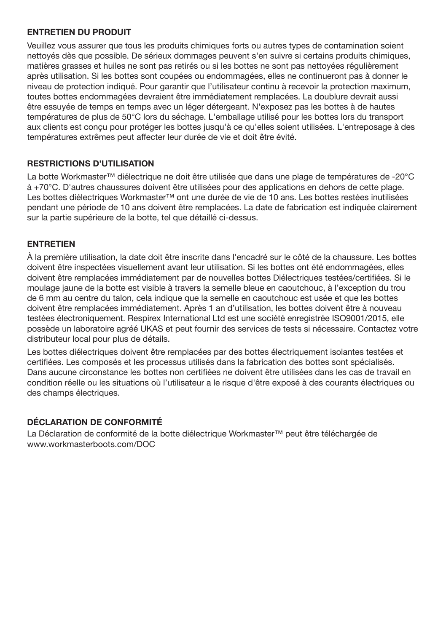#### **ENTRETIEN DU PRODUIT**

Veuillez vous assurer que tous les produits chimiques forts ou autres types de contamination soient nettoyés dès que possible. De sérieux dommages peuvent s'en suivre si certains produits chimiques, matières grasses et huiles ne sont pas retirés ou si les bottes ne sont pas nettoyées régulièrement après utilisation. Si les bottes sont coupées ou endommagées, elles ne continueront pas à donner le niveau de protection indiqué. Pour garantir que l'utilisateur continu à recevoir la protection maximum, toutes bottes endommagées devraient être immédiatement remplacées. La doublure devrait aussi être essuyée de temps en temps avec un léger détergeant. N'exposez pas les bottes à de hautes températures de plus de 50°C lors du séchage. L'emballage utilisé pour les bottes lors du transport aux clients est conçu pour protéger les bottes jusqu'à ce qu'elles soient utilisées. L'entreposage à des températures extrêmes peut affecter leur durée de vie et doit être évité.

#### **RESTRICTIONS D'UTILISATION**

La botte Workmaster™ diélectrique ne doit être utilisée que dans une plage de températures de -20°C à +70°C. D'autres chaussures doivent être utilisées pour des applications en dehors de cette plage. Les bottes diélectriques Workmaster™ ont une durée de vie de 10 ans. Les bottes restées inutilisées pendant une période de 10 ans doivent être remplacées. La date de fabrication est indiquée clairement sur la partie supérieure de la botte, tel que détaillé ci-dessus.

#### **ENTRETIEN**

À la première utilisation, la date doit être inscrite dans l'encadré sur le côté de la chaussure. Les bottes doivent être inspectées visuellement avant leur utilisation. Si les bottes ont été endommagées, elles doivent être remplacées immédiatement par de nouvelles bottes Diélectriques testées/certifiées. Si le moulage jaune de la botte est visible à travers la semelle bleue en caoutchouc, à l'exception du trou de 6 mm au centre du talon, cela indique que la semelle en caoutchouc est usée et que les bottes doivent être remplacées immédiatement. Après 1 an d'utilisation, les bottes doivent être à nouveau testées électroniquement. Respirex International Ltd est une société enregistrée ISO9001/2015, elle possède un laboratoire agréé UKAS et peut fournir des services de tests si nécessaire. Contactez votre distributeur local pour plus de détails.

Les bottes diélectriques doivent être remplacées par des bottes électriquement isolantes testées et certifiées. Les composés et les processus utilisés dans la fabrication des bottes sont spécialisés. Dans aucune circonstance les bottes non certifiées ne doivent être utilisées dans les cas de travail en condition réelle ou les situations où l'utilisateur a le risque d'être exposé à des courants électriques ou des champs électriques.

#### **DÉCLARATION DE CONFORMITÉ**

La Déclaration de conformité de la botte diélectrique Workmaster™ peut être téléchargée de www.workmasterboots.com/DOC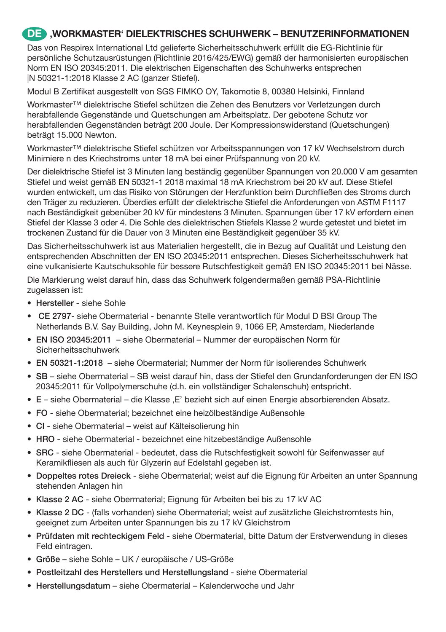#### **DE 'WORKMASTER' DIELEKTRISCHES SCHUHWERK – BENUTZERINFORMATIONEN**

Das von Respirex International Ltd gelieferte Sicherheitsschuhwerk erfüllt die EG-Richtlinie für persönliche Schutzausrüstungen (Richtlinie 2016/425/EWG) gemäß der harmonisierten europäischen Norm EN ISO 20345:2011. Die elektrischen Eigenschaften des Schuhwerks entsprechen |N 50321-1:2018 Klasse 2 AC (ganzer Stiefel).

Modul B Zertifikat ausgestellt von SGS FIMKO OY, Takomotie 8, 00380 Helsinki, Finnland

Workmaster™ dielektrische Stiefel schützen die Zehen des Benutzers vor Verletzungen durch herabfallende Gegenstände und Quetschungen am Arbeitsplatz. Der gebotene Schutz vor herabfallenden Gegenständen beträgt 200 Joule. Der Kompressionswiderstand (Quetschungen) beträgt 15.000 Newton.

Workmaster™ dielektrische Stiefel schützen vor Arbeitsspannungen von 17 kV Wechselstrom durch Minimiere n des Kriechstroms unter 18 mA bei einer Prüfspannung von 20 kV.

Der dielektrische Stiefel ist 3 Minuten lang beständig gegenüber Spannungen von 20.000 V am gesamten Stiefel und weist gemäß EN 50321-1 2018 maximal 18 mA Kriechstrom bei 20 kV auf. Diese Stiefel wurden entwickelt, um das Risiko von Störungen der Herzfunktion beim Durchfließen des Stroms durch den Träger zu reduzieren. Überdies erfüllt der dielektrische Stiefel die Anforderungen von ASTM F1117 nach Beständigkeit gebenüber 20 kV für mindestens 3 Minuten. Spannungen über 17 kV erfordern einen Stiefel der Klasse 3 oder 4. Die Sohle des dielektrischen Stiefels Klasse 2 wurde getestet und bietet im trockenen Zustand für die Dauer von 3 Minuten eine Beständigkeit gegenüber 35 kV.

Das Sicherheitsschuhwerk ist aus Materialien hergestellt, die in Bezug auf Qualität und Leistung den entsprechenden Abschnitten der EN ISO 20345:2011 entsprechen. Dieses Sicherheitsschuhwerk hat eine vulkanisierte Kautschuksohle für bessere Rutschfestigkeit gemäß EN ISO 20345:2011 bei Nässe.

Die Markierung weist darauf hin, dass das Schuhwerk folgendermaßen gemäß PSA-Richtlinie zugelassen ist:

- Hersteller siehe Sohle
- CE 2797- siehe Obermaterial benannte Stelle verantwortlich für Modul D BSI Group The Netherlands B.V. Say Building, John M. Keynesplein 9, 1066 EP, Amsterdam, Niederlande
- EN ISO 20345:2011 siehe Obermaterial Nummer der europäischen Norm für Sicherheitsschuhwerk
- EN 50321-1:2018 siehe Obermaterial; Nummer der Norm für isolierendes Schuhwerk
- SB siehe Obermaterial SB weist darauf hin, dass der Stiefel den Grundanforderungen der EN ISO 20345:2011 für Vollpolymerschuhe (d.h. ein vollständiger Schalenschuh) entspricht.
- E siehe Obermaterial die Klasse .E' bezieht sich auf einen Energie absorbierenden Absatz.
- FO siehe Obermaterial; bezeichnet eine heizölbeständige Außensohle
- CI siehe Obermaterial weist auf Kälteisolierung hin
- HRO siehe Obermaterial bezeichnet eine hitzebeständige Außensohle
- SRC siehe Obermaterial bedeutet, dass die Rutschfestigkeit sowohl für Seifenwasser auf Keramikfliesen als auch für Glyzerin auf Edelstahl gegeben ist.
- Doppeltes rotes Dreieck siehe Obermaterial; weist auf die Eignung für Arbeiten an unter Spannung stehenden Anlagen hin
- Klasse 2 AC siehe Obermaterial; Eignung für Arbeiten bei bis zu 17 kV AC
- Klasse 2 DC (falls vorhanden) siehe Obermaterial; weist auf zusätzliche Gleichstromtests hin, geeignet zum Arbeiten unter Spannungen bis zu 17 kV Gleichstrom
- Prüfdaten mit rechteckigem Feld siehe Obermaterial, bitte Datum der Erstverwendung in dieses Feld eintragen.
- Größe siehe Sohle UK / europäische / US-Größe
- Postleitzahl des Herstellers und Herstellungsland siehe Obermaterial
- Herstellungsdatum siehe Obermaterial Kalenderwoche und Jahr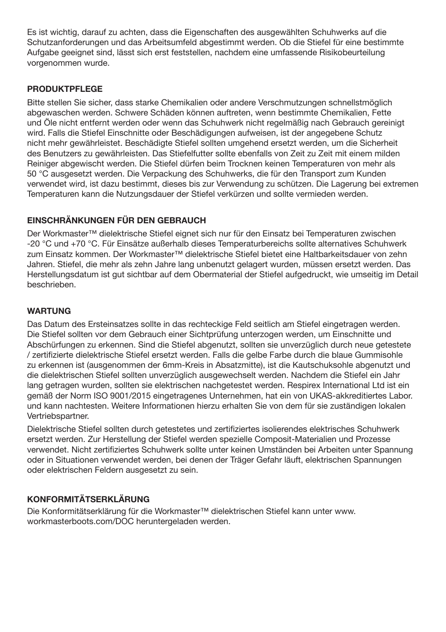Es ist wichtig, darauf zu achten, dass die Eigenschaften des ausgewählten Schuhwerks auf die Schutzanforderungen und das Arbeitsumfeld abgestimmt werden. Ob die Stiefel für eine bestimmte Aufgabe geeignet sind, lässt sich erst feststellen, nachdem eine umfassende Risikobeurteilung vorgenommen wurde.

#### **PRODUKTPFLEGE**

Bitte stellen Sie sicher, dass starke Chemikalien oder andere Verschmutzungen schnellstmöglich abgewaschen werden. Schwere Schäden können auftreten, wenn bestimmte Chemikalien, Fette und Öle nicht entfernt werden oder wenn das Schuhwerk nicht regelmäßig nach Gebrauch gereinigt wird. Falls die Stiefel Einschnitte oder Beschädigungen aufweisen, ist der angegebene Schutz nicht mehr gewährleistet. Beschädigte Stiefel sollten umgehend ersetzt werden, um die Sicherheit des Benutzers zu gewährleisten. Das Stiefelfutter sollte ebenfalls von Zeit zu Zeit mit einem milden Reiniger abgewischt werden. Die Stiefel dürfen beim Trocknen keinen Temperaturen von mehr als 50 °C ausgesetzt werden. Die Verpackung des Schuhwerks, die für den Transport zum Kunden verwendet wird, ist dazu bestimmt, dieses bis zur Verwendung zu schützen. Die Lagerung bei extremen Temperaturen kann die Nutzungsdauer der Stiefel verkürzen und sollte vermieden werden.

#### **EINSCHRÄNKUNGEN FÜR DEN GEBRAUCH**

Der Workmaster™ dielektrische Stiefel eignet sich nur für den Einsatz bei Temperaturen zwischen -20 °C und +70 °C. Für Einsätze außerhalb dieses Temperaturbereichs sollte alternatives Schuhwerk zum Einsatz kommen. Der Workmaster™ dielektrische Stiefel bietet eine Haltbarkeitsdauer von zehn Jahren. Stiefel, die mehr als zehn Jahre lang unbenutzt gelagert wurden, müssen ersetzt werden. Das Herstellungsdatum ist gut sichtbar auf dem Obermaterial der Stiefel aufgedruckt, wie umseitig im Detail beschrieben.

#### **WARTUNG**

Das Datum des Ersteinsatzes sollte in das rechteckige Feld seitlich am Stiefel eingetragen werden. Die Stiefel sollten vor dem Gebrauch einer Sichtprüfung unterzogen werden, um Einschnitte und Abschürfungen zu erkennen. Sind die Stiefel abgenutzt, sollten sie unverzüglich durch neue getestete / zertifizierte dielektrische Stiefel ersetzt werden. Falls die gelbe Farbe durch die blaue Gummisohle zu erkennen ist (ausgenommen der 6mm-Kreis in Absatzmitte), ist die Kautschuksohle abgenutzt und die dielektrischen Stiefel sollten unverzüglich ausgewechselt werden. Nachdem die Stiefel ein Jahr lang getragen wurden, sollten sie elektrischen nachgetestet werden. Respirex International Ltd ist ein gemäß der Norm ISO 9001/2015 eingetragenes Unternehmen, hat ein von UKAS-akkreditiertes Labor. und kann nachtesten. Weitere Informationen hierzu erhalten Sie von dem für sie zuständigen lokalen Vertriebspartner.

Dielektrische Stiefel sollten durch getestetes und zertifiziertes isolierendes elektrisches Schuhwerk ersetzt werden. Zur Herstellung der Stiefel werden spezielle Composit-Materialien und Prozesse verwendet. Nicht zertifiziertes Schuhwerk sollte unter keinen Umständen bei Arbeiten unter Spannung oder in Situationen verwendet werden, bei denen der Träger Gefahr läuft, elektrischen Spannungen oder elektrischen Feldern ausgesetzt zu sein.

#### **KONFORMITÄTSERKLÄRUNG**

Die Konformitätserklärung für die Workmaster™ dielektrischen Stiefel kann unter www. workmasterboots.com/DOC heruntergeladen werden.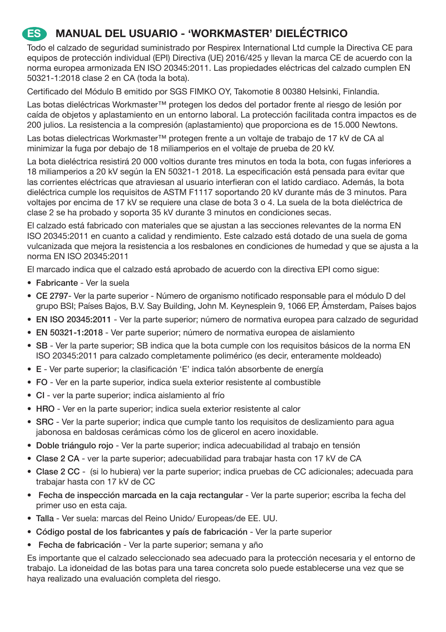## **ES MANUAL DEL USUARIO - 'WORKMASTER' DIELÉCTRICO**

Todo el calzado de seguridad suministrado por Respirex International Ltd cumple la Directiva CE para equipos de protección individual (EPI) Directiva (UE) 2016/425 y llevan la marca CE de acuerdo con la norma europea armonizada EN ISO 20345:2011. Las propiedades eléctricas del calzado cumplen EN 50321-1:2018 clase 2 en CA (toda la bota).

Certificado del Módulo B emitido por SGS FIMKO OY, Takomotie 8 00380 Helsinki, Finlandia.

Las botas dieléctricas Workmaster™ protegen los dedos del portador frente al riesgo de lesión por caída de objetos y aplastamiento en un entorno laboral. La protección facilitada contra impactos es de 200 julios. La resistencia a la compresión (aplastamiento) que proporciona es de 15.000 Newtons.

Las botas dielectricas Workmaster™ protegen frente a un voltaje de trabajo de 17 kV de CA al minimizar la fuga por debajo de 18 miliamperios en el voltaje de prueba de 20 kV.

La bota dieléctrica resistirá 20 000 voltios durante tres minutos en toda la bota, con fugas inferiores a 18 miliamperios a 20 kV según la EN 50321-1 2018. La especificación está pensada para evitar que las corrientes eléctricas que atraviesan al usuario interfieran con el latido cardiaco. Además, la bota dieléctrica cumple los requisitos de ASTM F1117 soportando 20 kV durante más de 3 minutos. Para voltajes por encima de 17 kV se requiere una clase de bota 3 o 4. La suela de la bota dieléctrica de clase 2 se ha probado y soporta 35 kV durante 3 minutos en condiciones secas.

El calzado está fabricado con materiales que se ajustan a las secciones relevantes de la norma EN ISO 20345:2011 en cuanto a calidad y rendimiento. Este calzado está dotado de una suela de goma vulcanizada que mejora la resistencia a los resbalones en condiciones de humedad y que se ajusta a la norma EN ISO 20345:2011

El marcado indica que el calzado está aprobado de acuerdo con la directiva EPI como sigue:

- Fabricante Ver la suela
- CE 2797- Ver la parte superior Número de organismo notificado responsable para el módulo D del grupo BSI; Países Bajos, B.V. Say Building, John M. Keynesplein 9, 1066 EP, Ámsterdam, Países bajos
- EN ISO 20345:2011 Ver la parte superior; número de normativa europea para calzado de seguridad
- EN 50321-1:2018 Ver parte superior; número de normativa europea de aislamiento
- SB Ver la parte superior; SB indica que la bota cumple con los requisitos básicos de la norma EN ISO 20345:2011 para calzado completamente polimérico (es decir, enteramente moldeado)
- E Ver parte superior; la clasificación 'E' indica talón absorbente de energía
- FO Ver en la parte superior, indica suela exterior resistente al combustible
- CI ver la parte superior; indica aislamiento al frío
- HRO Ver en la parte superior; indica suela exterior resistente al calor
- SRC Ver la parte superior; indica que cumple tanto los requisitos de deslizamiento para agua jabonosa en baldosas cerámicas cómo los de glicerol en acero inoxidable.
- Doble triángulo rojo Ver la parte superior; indica adecuabilidad al trabajo en tensión
- Clase 2 CA ver la parte superior; adecuabilidad para trabajar hasta con 17 kV de CA
- Clase 2 CC (si lo hubiera) ver la parte superior; indica pruebas de CC adicionales; adecuada para trabajar hasta con 17 kV de CC
- Fecha de inspección marcada en la caja rectangular Ver la parte superior; escriba la fecha del primer uso en esta caja.
- Talla Ver suela: marcas del Reino Unido/ Europeas/de EE. UU.
- Código postal de los fabricantes y país de fabricación Ver la parte superior
- Fecha de fabricación Ver la parte superior; semana y año

Es importante que el calzado seleccionado sea adecuado para la protección necesaria y el entorno de trabajo. La idoneidad de las botas para una tarea concreta solo puede establecerse una vez que se haya realizado una evaluación completa del riesgo.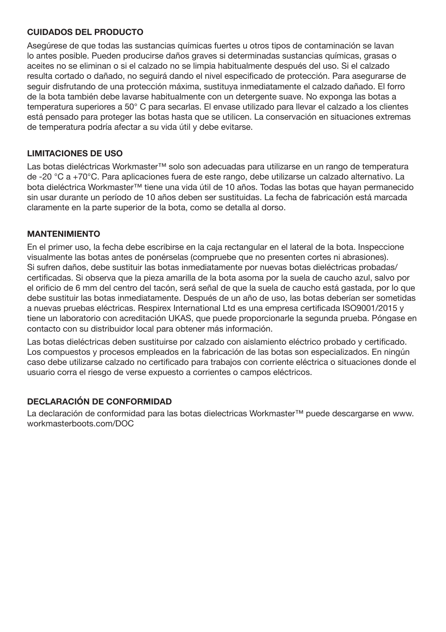#### **CUIDADOS DEL PRODUCTO**

Asegúrese de que todas las sustancias químicas fuertes u otros tipos de contaminación se lavan lo antes posible. Pueden producirse daños graves si determinadas sustancias químicas, grasas o aceites no se eliminan o si el calzado no se limpia habitualmente después del uso. Si el calzado resulta cortado o dañado, no seguirá dando el nivel especificado de protección. Para asegurarse de seguir disfrutando de una protección máxima, sustituya inmediatamente el calzado dañado. El forro de la bota también debe lavarse habitualmente con un detergente suave. No exponga las botas a temperatura superiores a 50° C para secarlas. El envase utilizado para llevar el calzado a los clientes está pensado para proteger las botas hasta que se utilicen. La conservación en situaciones extremas de temperatura podría afectar a su vida útil y debe evitarse.

#### **LIMITACIONES DE USO**

Las botas dieléctricas Workmaster™ solo son adecuadas para utilizarse en un rango de temperatura de -20 °C a +70°C. Para aplicaciones fuera de este rango, debe utilizarse un calzado alternativo. La bota dieléctrica Workmaster™ tiene una vida útil de 10 años. Todas las botas que hayan permanecido sin usar durante un período de 10 años deben ser sustituidas. La fecha de fabricación está marcada claramente en la parte superior de la bota, como se detalla al dorso.

#### **MANTENIMIENTO**

En el primer uso, la fecha debe escribirse en la caja rectangular en el lateral de la bota. Inspeccione visualmente las botas antes de ponérselas (compruebe que no presenten cortes ni abrasiones). Si sufren daños, debe sustituir las botas inmediatamente por nuevas botas dieléctricas probadas/ certificadas. Si observa que la pieza amarilla de la bota asoma por la suela de caucho azul, salvo por el orificio de 6 mm del centro del tacón, será señal de que la suela de caucho está gastada, por lo que debe sustituir las botas inmediatamente. Después de un año de uso, las botas deberían ser sometidas a nuevas pruebas eléctricas. Respirex International Ltd es una empresa certificada ISO9001/2015 y tiene un laboratorio con acreditación UKAS, que puede proporcionarle la segunda prueba. Póngase en contacto con su distribuidor local para obtener más información.

Las botas dieléctricas deben sustituirse por calzado con aislamiento eléctrico probado y certificado. Los compuestos y procesos empleados en la fabricación de las botas son especializados. En ningún caso debe utilizarse calzado no certificado para trabajos con corriente eléctrica o situaciones donde el usuario corra el riesgo de verse expuesto a corrientes o campos eléctricos.

#### **DECLARACIÓN DE CONFORMIDAD**

La declaración de conformidad para las botas dielectricas Workmaster™ puede descargarse en www. workmasterboots.com/DOC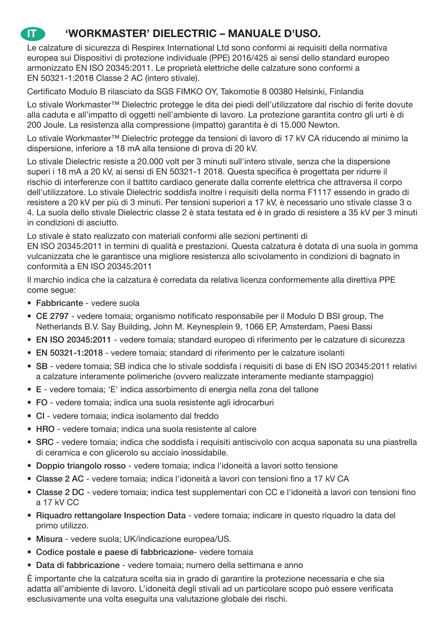## **IT 'WORKMASTER' DIELECTRIC – MANUALE D'USO.**

Le calzature di sicurezza di Respirex International Ltd sono conformi ai requisiti della normativa europea sui Dispositivi di protezione individuale (PPE) 2016/425 ai sensi dello standard europeo armonizzato EN ISO 20345:2011. Le proprietà elettriche delle calzature sono conformi a EN 50321-1:2018 Classe 2 AC (intero stivale).

Certificato Modulo B rilasciato da SGS FIMKO OY, Takomotie 8 00380 Helsinki, Finlandia

Lo stivale Workmaster™ Dielectric protegge le dita dei piedi dell'utilizzatore dal rischio di ferite dovute alla caduta e all'impatto di oggetti nell'ambiente di lavoro. La protezione garantita contro gli urti è di 200 Joule. La resistenza alla compressione (impatto) garantita è di 15.000 Newton.

Lo stivale Workmaster™ Dielectric protegge da tensioni di lavoro di 17 kV CA riducendo al minimo la dispersione, inferiore a 18 mA alla tensione di prova di 20 kV.

Lo stivale Dielectric resiste a 20.000 volt per 3 minuti sull'intero stivale, senza che la dispersione superi i 18 mA a 20 kV, ai sensi di EN 50321-1 2018. Questa specifica è progettata per ridurre il rischio di interferenze con il battito cardiaco generate dalla corrente elettrica che attraversa il corpo dell'utilizzatore. Lo stivale Dielectric soddisfa inoltre i requisiti della norma F1117 essendo in grado di resistere a 20 kV per più di 3 minuti. Per tensioni superiori a 17 kV, è necessario uno stivale classe 3 o 4. La suola dello stivale Dielectric classe 2 è stata testata ed è in grado di resistere a 35 kV per 3 minuti in condizioni di asciutto.

Lo stivale è stato realizzato con materiali conformi alle sezioni pertinenti di EN ISO 20345:2011 in termini di qualità e prestazioni. Questa calzatura è dotata di una suola in gomma vulcanizzata che le garantisce una migliore resistenza allo scivolamento in condizioni di bagnato in conformità a EN ISO 20345:2011

Il marchio indica che la calzatura è corredata da relativa licenza conformemente alla direttiva PPE come segue:

- Fabbricante vedere suola
- CE 2797 vedere tomaia; organismo notificato responsabile per il Modulo D BSI group, The Netherlands B.V. Say Building, John M. Keynesplein 9, 1066 EP, Amsterdam, Paesi Bassi
- EN ISO 20345:2011 vedere tomaia; standard europeo di riferimento per le calzature di sicurezza
- EN 50321-1:2018 vedere tomaia; standard di riferimento per le calzature isolanti
- SB vedere tomaia; SB indica che lo stivale soddisfa i requisiti di base di EN ISO 20345:2011 relativi a calzature interamente polimeriche (ovvero realizzate interamente mediante stampaggio)
- E vedere tomaia; 'E' indica assorbimento di energia nella zona del tallone
- FO vedere tomaia; indica una suola resistente agli idrocarburi
- CI vedere tomaia; indica isolamento dal freddo
- HRO vedere tomaia; indica una suola resistente al calore
- SRC vedere tomaia; indica che soddisfa i requisiti antiscivolo con acqua saponata su una piastrella di ceramica e con glicerolo su acciaio inossidabile.
- Doppio triangolo rosso vedere tomaia; indica l'idoneità a lavori sotto tensione
- Classe 2 AC vedere tomaia; indica l'idoneità a lavori con tensioni fino a 17 kV CA
- Classe 2 DC vedere tomaia; indica test supplementari con CC e l'idoneità a lavori con tensioni fino a 17 kV CC
- Riquadro rettangolare Inspection Data vedere tomaia; indicare in questo riquadro la data del primo utilizzo.
- Misura vedere suola; UK/indicazione europea/US.
- Codice postale e paese di fabbricazione- vedere tomaia
- Data di fabbricazione vedere tomaia; numero della settimana e anno

È importante che la calzatura scelta sia in grado di garantire la protezione necessaria e che sia adatta all'ambiente di lavoro. L'idoneità degli stivali ad un particolare scopo può essere verificata esclusivamente una volta eseguita una valutazione globale dei rischi.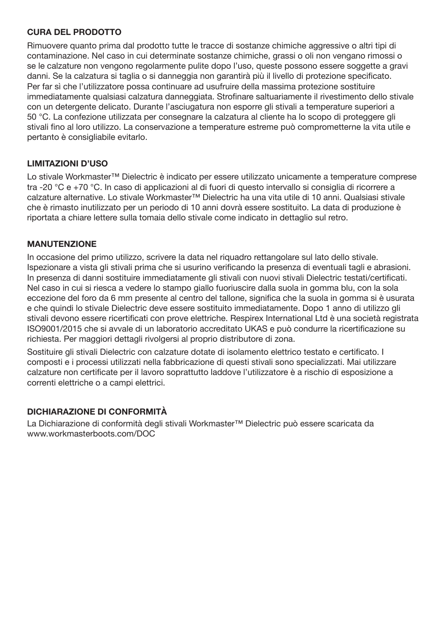#### **CURA DEL PRODOTTO**

Rimuovere quanto prima dal prodotto tutte le tracce di sostanze chimiche aggressive o altri tipi di contaminazione. Nel caso in cui determinate sostanze chimiche, grassi o oli non vengano rimossi o se le calzature non vengono regolarmente pulite dopo l'uso, queste possono essere soggette a gravi danni. Se la calzatura si taglia o si danneggia non garantirà più il livello di protezione specificato. Per far sì che l'utilizzatore possa continuare ad usufruire della massima protezione sostituire immediatamente qualsiasi calzatura danneggiata. Strofinare saltuariamente il rivestimento dello stivale con un detergente delicato. Durante l'asciugatura non esporre gli stivali a temperature superiori a 50 °C. La confezione utilizzata per consegnare la calzatura al cliente ha lo scopo di proteggere gli stivali fino al loro utilizzo. La conservazione a temperature estreme può comprometterne la vita utile e pertanto è consigliabile evitarlo.

#### **LIMITAZIONI D'USO**

Lo stivale Workmaster™ Dielectric è indicato per essere utilizzato unicamente a temperature comprese tra -20 °C e +70 °C. In caso di applicazioni al di fuori di questo intervallo si consiglia di ricorrere a calzature alternative. Lo stivale Workmaster™ Dielectric ha una vita utile di 10 anni. Qualsiasi stivale che è rimasto inutilizzato per un periodo di 10 anni dovrà essere sostituito. La data di produzione è riportata a chiare lettere sulla tomaia dello stivale come indicato in dettaglio sul retro.

#### **MANUTENZIONE**

In occasione del primo utilizzo, scrivere la data nel riquadro rettangolare sul lato dello stivale. Ispezionare a vista gli stivali prima che si usurino verificando la presenza di eventuali tagli e abrasioni. In presenza di danni sostituire immediatamente gli stivali con nuovi stivali Dielectric testati/certificati. Nel caso in cui si riesca a vedere lo stampo giallo fuoriuscire dalla suola in gomma blu, con la sola eccezione del foro da 6 mm presente al centro del tallone, significa che la suola in gomma si è usurata e che quindi lo stivale Dielectric deve essere sostituito immediatamente. Dopo 1 anno di utilizzo gli stivali devono essere ricertificati con prove elettriche. Respirex International Ltd è una società registrata ISO9001/2015 che si avvale di un laboratorio accreditato UKAS e può condurre la ricertificazione su richiesta. Per maggiori dettagli rivolgersi al proprio distributore di zona.

Sostituire gli stivali Dielectric con calzature dotate di isolamento elettrico testato e certificato. I composti e i processi utilizzati nella fabbricazione di questi stivali sono specializzati. Mai utilizzare calzature non certificate per il lavoro soprattutto laddove l'utilizzatore è a rischio di esposizione a correnti elettriche o a campi elettrici.

#### **DICHIARAZIONE DI CONFORMITÀ**

La Dichiarazione di conformità degli stivali Workmaster™ Dielectric può essere scaricata da www.workmasterboots.com/DOC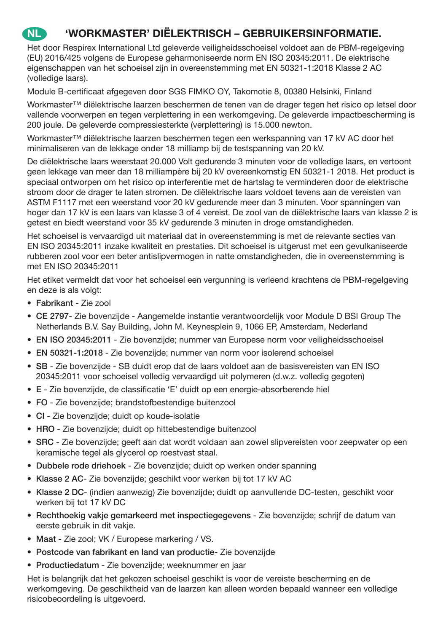## **NL 'WORKMASTER' DIËLEKTRISCH – GEBRUIKERSINFORMATIE.**

Het door Respirex International Ltd geleverde veiligheidsschoeisel voldoet aan de PBM-regelgeving (EU) 2016/425 volgens de Europese geharmoniseerde norm EN ISO 20345:2011. De elektrische eigenschappen van het schoeisel zijn in overeenstemming met EN 50321-1:2018 Klasse 2 AC (volledige laars).

Module B-certificaat afgegeven door SGS FIMKO OY, Takomotie 8, 00380 Helsinki, Finland

Workmaster™ diëlektrische laarzen beschermen de tenen van de drager tegen het risico op letsel door vallende voorwerpen en tegen verplettering in een werkomgeving. De geleverde impactbescherming is 200 joule. De geleverde compressiesterkte (verplettering) is 15.000 newton.

Workmaster™ diëlektrische laarzen beschermen tegen een werkspanning van 17 kV AC door het minimaliseren van de lekkage onder 18 milliamp bij de testspanning van 20 kV.

De diëlektrische laars weerstaat 20.000 Volt gedurende 3 minuten voor de volledige laars, en vertoont geen lekkage van meer dan 18 milliampère bij 20 kV overeenkomstig EN 50321-1 2018. Het product is speciaal ontworpen om het risico op interferentie met de hartslag te verminderen door de elektrische stroom door de drager te laten stromen. De diëlektrische laars voldoet tevens aan de vereisten van ASTM F1117 met een weerstand voor 20 kV gedurende meer dan 3 minuten. Voor spanningen van hoger dan 17 kV is een laars van klasse 3 of 4 vereist. De zool van de diëlektrische laars van klasse 2 is getest en biedt weerstand voor 35 kV gedurende 3 minuten in droge omstandigheden.

Het schoeisel is vervaardigd uit materiaal dat in overeenstemming is met de relevante secties van EN ISO 20345:2011 inzake kwaliteit en prestaties. Dit schoeisel is uitgerust met een gevulkaniseerde rubberen zool voor een beter antislipvermogen in natte omstandigheden, die in overeenstemming is met EN ISO 20345:2011

Het etiket vermeldt dat voor het schoeisel een vergunning is verleend krachtens de PBM-regelgeving en deze is als volgt:

- Fabrikant Zie zool
- CE 2797- Zie bovenzijde Aangemelde instantie verantwoordelijk voor Module D BSI Group The Netherlands B.V. Say Building, John M. Keynesplein 9, 1066 EP, Amsterdam, Nederland
- EN ISO 20345:2011 Zie bovenzijde; nummer van Europese norm voor veiligheidsschoeisel
- EN 50321-1:2018 Zie bovenzijde; nummer van norm voor isolerend schoeisel
- SB Zie bovenzijde SB duidt erop dat de laars voldoet aan de basisvereisten van EN ISO 20345:2011 voor schoeisel volledig vervaardigd uit polymeren (d.w.z. volledig gegoten)
- E Zie bovenzijde, de classificatie 'E' duidt op een energie-absorberende hiel
- FO Zie bovenzijde; brandstofbestendige buitenzool
- CI Zie bovenzijde; duidt op koude-isolatie
- HRO Zie bovenzijde; duidt op hittebestendige buitenzool
- SRC Zie bovenzijde; geeft aan dat wordt voldaan aan zowel slipvereisten voor zeepwater op een keramische tegel als glycerol op roestvast staal.
- Dubbele rode driehoek Zie bovenzijde; duidt op werken onder spanning
- Klasse 2 AC- Zie bovenzijde; geschikt voor werken bij tot 17 kV AC
- Klasse 2 DC- (indien aanwezig) Zie bovenzijde; duidt op aanvullende DC-testen, geschikt voor werken bij tot 17 kV DC
- Rechthoekig vakje gemarkeerd met inspectiegegevens Zie bovenzijde; schrijf de datum van eerste gebruik in dit vakje.
- Maat Zie zool; VK / Europese markering / VS.
- Postcode van fabrikant en land van productie- Zie bovenzijde
- Productiedatum Zie bovenzijde; weeknummer en jaar

Het is belangrijk dat het gekozen schoeisel geschikt is voor de vereiste bescherming en de werkomgeving. De geschiktheid van de laarzen kan alleen worden bepaald wanneer een volledige risicobeoordeling is uitgevoerd.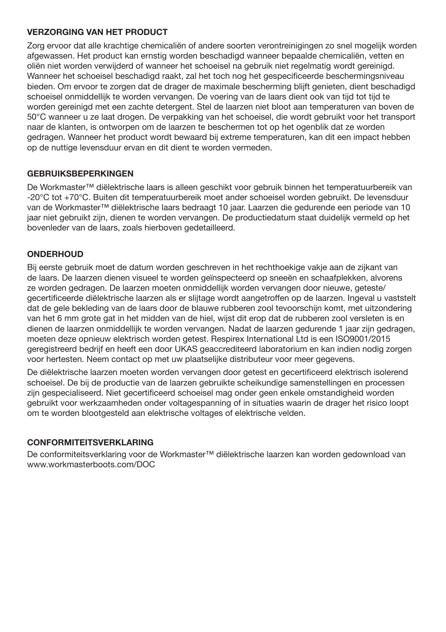#### **VERZORGING VAN HET PRODUCT**

Zorg ervoor dat alle krachtige chemicaliën of andere soorten verontreinigingen zo snel mogelijk worden afgewassen. Het product kan ernstig worden beschadigd wanneer bepaalde chemicaliën, vetten en oliën niet worden verwijderd of wanneer het schoeisel na gebruik niet regelmatig wordt gereinigd. Wanneer het schoeisel beschadigd raakt, zal het toch nog het gespecificeerde beschermingsniveau bieden. Om ervoor te zorgen dat de drager de maximale bescherming blijft genieten, dient beschadigd schoeisel onmiddellijk te worden vervangen. De voering van de laars dient ook van tijd tot tijd te worden gereinigd met een zachte detergent. Stel de laarzen niet bloot aan temperaturen van boven de 50°C wanneer u ze laat drogen. De verpakking van het schoeisel, die wordt gebruikt voor het transport naar de klanten, is ontworpen om de laarzen te beschermen tot op het ogenblik dat ze worden gedragen. Wanneer het product wordt bewaard bij extreme temperaturen, kan dit een impact hebben op de nuttige levensduur ervan en dit dient te worden vermeden.

#### **GEBRUIKSBEPERKINGEN**

De Workmaster™ diëlektrische laars is alleen geschikt voor gebruik binnen het temperatuurbereik van -20°C tot +70°C. Buiten dit temperatuurbereik moet ander schoeisel worden gebruikt. De levensduur van de Workmaster™ diëlektrische laars bedraagt 10 jaar. Laarzen die gedurende een periode van 10 jaar niet gebruikt zijn, dienen te worden vervangen. De productiedatum staat duidelijk vermeld op het bovenleder van de laars, zoals hierboven gedetailleerd.

#### **ONDERHOUD**

Bij eerste gebruik moet de datum worden geschreven in het rechthoekige vakje aan de zijkant van de laars. De laarzen dienen visueel te worden geïnspecteerd op sneeën en schaafplekken, alvorens ze worden gedragen. De laarzen moeten onmiddellijk worden vervangen door nieuwe, geteste/ gecertificeerde diëlektrische laarzen als er slijtage wordt aangetroffen op de laarzen. Ingeval u vaststelt dat de gele bekleding van de laars door de blauwe rubberen zool tevoorschijn komt, met uitzondering van het 6 mm grote gat in het midden van de hiel, wijst dit erop dat de rubberen zool versleten is en dienen de laarzen onmiddellijk te worden vervangen. Nadat de laarzen gedurende 1 jaar zijn gedragen, moeten deze opnieuw elektrisch worden getest. Respirex International Ltd is een ISO9001/2015 geregistreerd bedrijf en heeft een door UKAS geaccrediteerd laboratorium en kan indien nodig zorgen voor hertesten. Neem contact op met uw plaatselijke distributeur voor meer gegevens.

De diëlektrische laarzen moeten worden vervangen door getest en gecertificeerd elektrisch isolerend schoeisel. De bij de productie van de laarzen gebruikte scheikundige samenstellingen en processen zijn gespecialiseerd. Niet gecertificeerd schoeisel mag onder geen enkele omstandigheid worden gebruikt voor werkzaamheden onder voltagespanning of in situaties waarin de drager het risico loopt om te worden blootgesteld aan elektrische voltages of elektrische velden.

#### **CONFORMITEITSVERKLARING**

De conformiteitsverklaring voor de Workmaster™ diëlektrische laarzen kan worden gedownload van www.workmasterboots.com/DOC